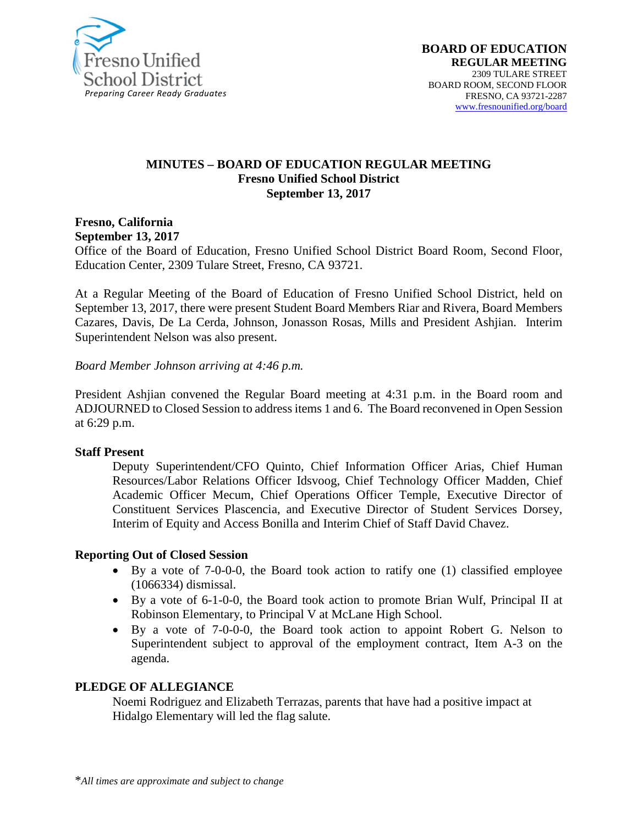

#### **MINUTES – BOARD OF EDUCATION REGULAR MEETING Fresno Unified School District September 13, 2017**

**Fresno, California September 13, 2017** 

Office of the Board of Education, Fresno Unified School District Board Room, Second Floor, Education Center, 2309 Tulare Street, Fresno, CA 93721.

At a Regular Meeting of the Board of Education of Fresno Unified School District, held on September 13, 2017, there were present Student Board Members Riar and Rivera, Board Members Cazares, Davis, De La Cerda, Johnson, Jonasson Rosas, Mills and President Ashjian. Interim Superintendent Nelson was also present.

*Board Member Johnson arriving at 4:46 p.m.*

President Ashjian convened the Regular Board meeting at 4:31 p.m. in the Board room and ADJOURNED to Closed Session to address items 1 and 6. The Board reconvened in Open Session at 6:29 p.m.

#### **Staff Present**

Deputy Superintendent/CFO Quinto, Chief Information Officer Arias, Chief Human Resources/Labor Relations Officer Idsvoog, Chief Technology Officer Madden, Chief Academic Officer Mecum, Chief Operations Officer Temple, Executive Director of Constituent Services Plascencia, and Executive Director of Student Services Dorsey, Interim of Equity and Access Bonilla and Interim Chief of Staff David Chavez.

#### **Reporting Out of Closed Session**

- By a vote of 7-0-0-0, the Board took action to ratify one (1) classified employee (1066334) dismissal.
- By a vote of 6-1-0-0, the Board took action to promote Brian Wulf, Principal II at Robinson Elementary, to Principal V at McLane High School.
- By a vote of 7-0-0-0, the Board took action to appoint Robert G. Nelson to Superintendent subject to approval of the employment contract, Item A-3 on the agenda.

#### **PLEDGE OF ALLEGIANCE**

Noemi Rodriguez and Elizabeth Terrazas, parents that have had a positive impact at Hidalgo Elementary will led the flag salute.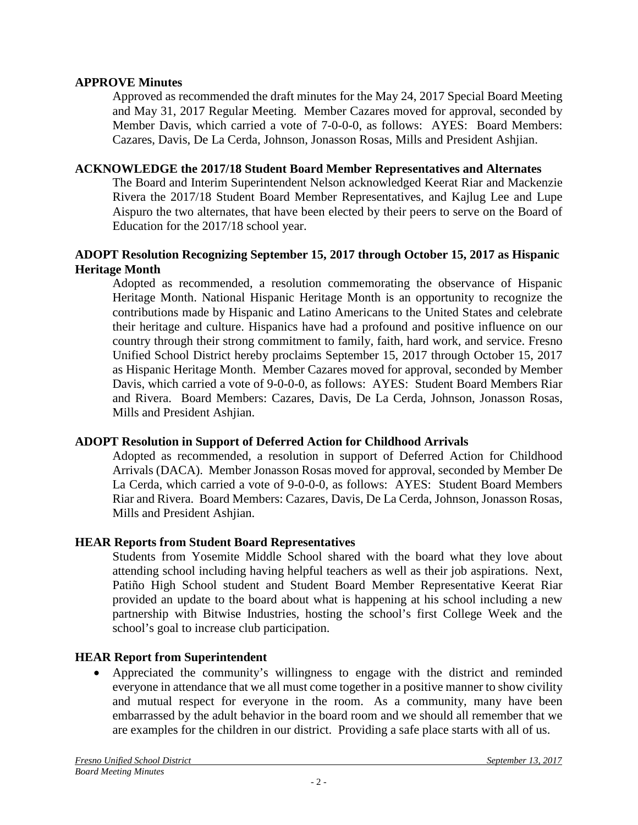#### **APPROVE Minutes**

Approved as recommended the draft minutes for the May 24, 2017 Special Board Meeting and May 31, 2017 Regular Meeting. Member Cazares moved for approval, seconded by Member Davis, which carried a vote of 7-0-0-0, as follows: AYES: Board Members: Cazares, Davis, De La Cerda, Johnson, Jonasson Rosas, Mills and President Ashjian.

### **ACKNOWLEDGE the 2017/18 Student Board Member Representatives and Alternates**

The Board and Interim Superintendent Nelson acknowledged Keerat Riar and Mackenzie Rivera the 2017/18 Student Board Member Representatives, and Kajlug Lee and Lupe Aispuro the two alternates, that have been elected by their peers to serve on the Board of Education for the 2017/18 school year.

### **ADOPT Resolution Recognizing September 15, 2017 through October 15, 2017 as Hispanic Heritage Month**

Adopted as recommended, a resolution commemorating the observance of Hispanic Heritage Month. National Hispanic Heritage Month is an opportunity to recognize the contributions made by Hispanic and Latino Americans to the United States and celebrate their heritage and culture. Hispanics have had a profound and positive influence on our country through their strong commitment to family, faith, hard work, and service. Fresno Unified School District hereby proclaims September 15, 2017 through October 15, 2017 as Hispanic Heritage Month. Member Cazares moved for approval, seconded by Member Davis, which carried a vote of 9-0-0-0, as follows: AYES: Student Board Members Riar and Rivera. Board Members: Cazares, Davis, De La Cerda, Johnson, Jonasson Rosas, Mills and President Ashjian.

# **ADOPT Resolution in Support of Deferred Action for Childhood Arrivals**

Adopted as recommended, a resolution in support of Deferred Action for Childhood Arrivals (DACA). Member Jonasson Rosas moved for approval, seconded by Member De La Cerda, which carried a vote of 9-0-0-0, as follows: AYES: Student Board Members Riar and Rivera. Board Members: Cazares, Davis, De La Cerda, Johnson, Jonasson Rosas, Mills and President Ashjian.

# **HEAR Reports from Student Board Representatives**

Students from Yosemite Middle School shared with the board what they love about attending school including having helpful teachers as well as their job aspirations. Next, Patiño High School student and Student Board Member Representative Keerat Riar provided an update to the board about what is happening at his school including a new partnership with Bitwise Industries, hosting the school's first College Week and the school's goal to increase club participation.

# **HEAR Report from Superintendent**

• Appreciated the community's willingness to engage with the district and reminded everyone in attendance that we all must come together in a positive manner to show civility and mutual respect for everyone in the room. As a community, many have been embarrassed by the adult behavior in the board room and we should all remember that we are examples for the children in our district. Providing a safe place starts with all of us.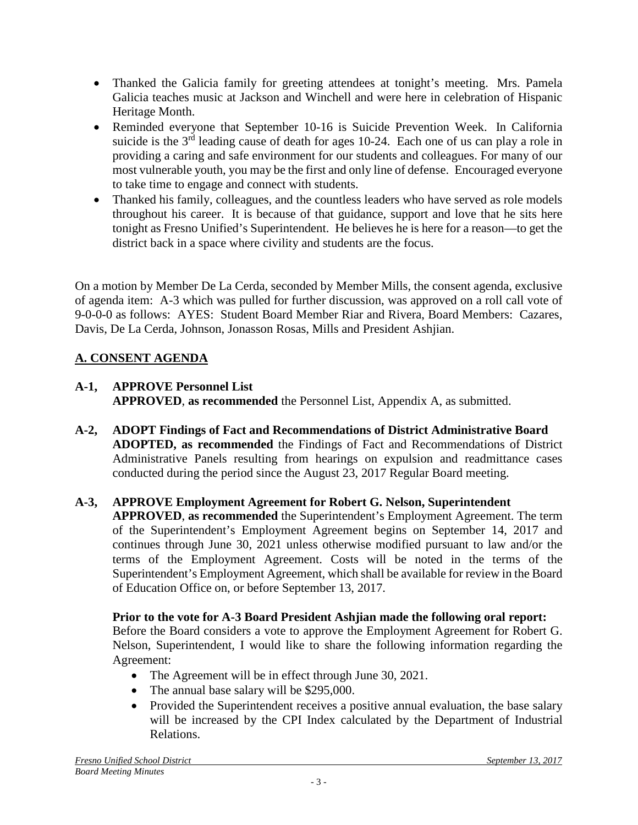- Thanked the Galicia family for greeting attendees at tonight's meeting. Mrs. Pamela Galicia teaches music at Jackson and Winchell and were here in celebration of Hispanic Heritage Month.
- Reminded everyone that September 10-16 is Suicide Prevention Week. In California suicide is the 3<sup>rd</sup> leading cause of death for ages 10-24. Each one of us can play a role in providing a caring and safe environment for our students and colleagues. For many of our most vulnerable youth, you may be the first and only line of defense. Encouraged everyone to take time to engage and connect with students.
- Thanked his family, colleagues, and the countless leaders who have served as role models throughout his career. It is because of that guidance, support and love that he sits here tonight as Fresno Unified's Superintendent. He believes he is here for a reason—to get the district back in a space where civility and students are the focus.

On a motion by Member De La Cerda, seconded by Member Mills, the consent agenda, exclusive of agenda item: A-3 which was pulled for further discussion, was approved on a roll call vote of 9-0-0-0 as follows: AYES: Student Board Member Riar and Rivera, Board Members: Cazares, Davis, De La Cerda, Johnson, Jonasson Rosas, Mills and President Ashjian.

# **A. CONSENT AGENDA**

- **A-1, APPROVE Personnel List APPROVED**, **as recommended** the Personnel List, Appendix A, as submitted.
- **A-2, ADOPT Findings of Fact and Recommendations of District Administrative Board ADOPTED, as recommended** the Findings of Fact and Recommendations of District Administrative Panels resulting from hearings on expulsion and readmittance cases conducted during the period since the August 23, 2017 Regular Board meeting.
- **A-3, APPROVE Employment Agreement for Robert G. Nelson, Superintendent APPROVED**, **as recommended** the Superintendent's Employment Agreement. The term of the Superintendent's Employment Agreement begins on September 14, 2017 and continues through June 30, 2021 unless otherwise modified pursuant to law and/or the terms of the Employment Agreement. Costs will be noted in the terms of the Superintendent's Employment Agreement, which shall be available for review in the Board of Education Office on, or before September 13, 2017.

# **Prior to the vote for A-3 Board President Ashjian made the following oral report:**

Before the Board considers a vote to approve the Employment Agreement for Robert G. Nelson, Superintendent, I would like to share the following information regarding the Agreement:

- The Agreement will be in effect through June 30, 2021.
- The annual base salary will be \$295,000.
- Provided the Superintendent receives a positive annual evaluation, the base salary will be increased by the CPI Index calculated by the Department of Industrial Relations.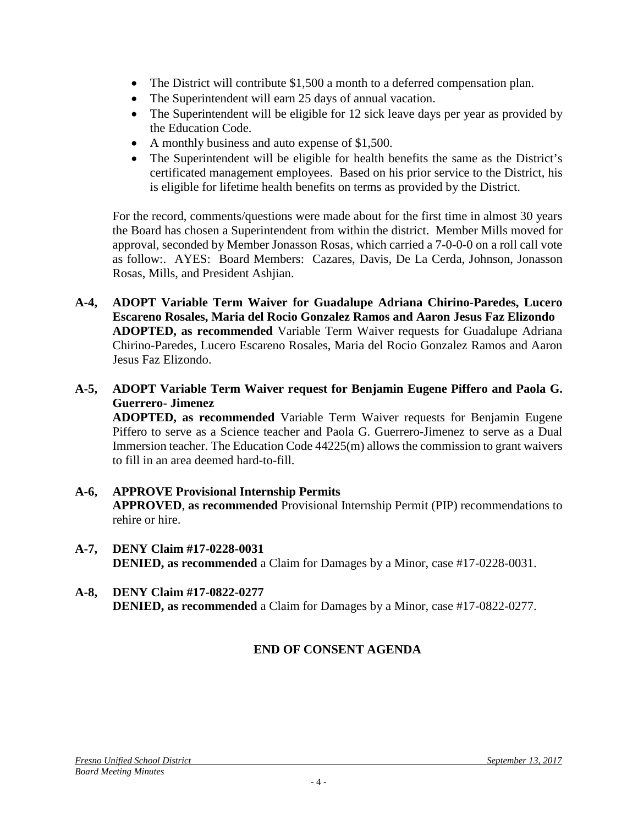- The District will contribute \$1,500 a month to a deferred compensation plan.
- The Superintendent will earn 25 days of annual vacation.
- The Superintendent will be eligible for 12 sick leave days per year as provided by the Education Code.
- A monthly business and auto expense of \$1,500.
- The Superintendent will be eligible for health benefits the same as the District's certificated management employees. Based on his prior service to the District, his is eligible for lifetime health benefits on terms as provided by the District.

For the record, comments/questions were made about for the first time in almost 30 years the Board has chosen a Superintendent from within the district. Member Mills moved for approval, seconded by Member Jonasson Rosas, which carried a 7-0-0-0 on a roll call vote as follow:. AYES: Board Members: Cazares, Davis, De La Cerda, Johnson, Jonasson Rosas, Mills, and President Ashjian.

- **A-4, ADOPT Variable Term Waiver for Guadalupe Adriana Chirino-Paredes, Lucero Escareno Rosales, Maria del Rocio Gonzalez Ramos and Aaron Jesus Faz Elizondo ADOPTED, as recommended** Variable Term Waiver requests for Guadalupe Adriana Chirino-Paredes, Lucero Escareno Rosales, Maria del Rocio Gonzalez Ramos and Aaron Jesus Faz Elizondo.
- **A-5, ADOPT Variable Term Waiver request for Benjamin Eugene Piffero and Paola G. Guerrero- Jimenez**

**ADOPTED, as recommended** Variable Term Waiver requests for Benjamin Eugene Piffero to serve as a Science teacher and Paola G. Guerrero-Jimenez to serve as a Dual Immersion teacher. The Education Code 44225(m) allows the commission to grant waivers to fill in an area deemed hard-to-fill.

- **A-6, APPROVE Provisional Internship Permits APPROVED**, **as recommended** Provisional Internship Permit (PIP) recommendations to rehire or hire.
- **A-7, DENY Claim #17-0228-0031 DENIED, as recommended** a Claim for Damages by a Minor, case #17-0228-0031.
- **A-8, DENY Claim #17-0822-0277 DENIED, as recommended** a Claim for Damages by a Minor, case #17-0822-0277.

# **END OF CONSENT AGENDA**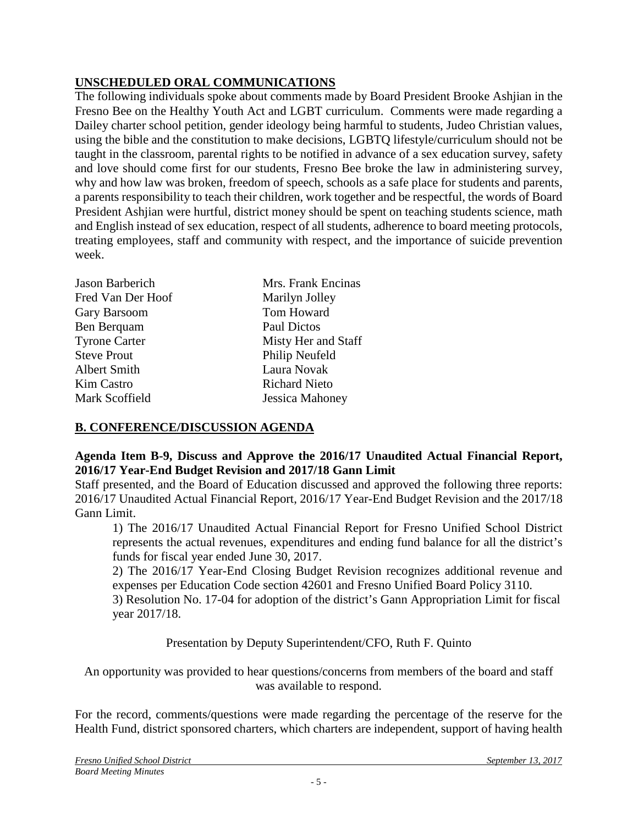# **UNSCHEDULED ORAL COMMUNICATIONS**

The following individuals spoke about comments made by Board President Brooke Ashjian in the Fresno Bee on the Healthy Youth Act and LGBT curriculum. Comments were made regarding a Dailey charter school petition, gender ideology being harmful to students, Judeo Christian values, using the bible and the constitution to make decisions, LGBTQ lifestyle/curriculum should not be taught in the classroom, parental rights to be notified in advance of a sex education survey, safety and love should come first for our students, Fresno Bee broke the law in administering survey, why and how law was broken, freedom of speech, schools as a safe place for students and parents, a parents responsibility to teach their children, work together and be respectful, the words of Board President Ashjian were hurtful, district money should be spent on teaching students science, math and English instead of sex education, respect of all students, adherence to board meeting protocols, treating employees, staff and community with respect, and the importance of suicide prevention week.

| Jason Barberich      | Mrs. Frank Encinas   |
|----------------------|----------------------|
| Fred Van Der Hoof    | Marilyn Jolley       |
| Gary Barsoom         | Tom Howard           |
| Ben Berquam          | Paul Dictos          |
| <b>Tyrone Carter</b> | Misty Her and Staff  |
| <b>Steve Prout</b>   | Philip Neufeld       |
| <b>Albert Smith</b>  | Laura Novak          |
| Kim Castro           | <b>Richard Nieto</b> |
| Mark Scoffield       | Jessica Mahoney      |

# **B. CONFERENCE/DISCUSSION AGENDA**

# **Agenda Item B-9, Discuss and Approve the 2016/17 Unaudited Actual Financial Report, 2016/17 Year-End Budget Revision and 2017/18 Gann Limit**

Staff presented, and the Board of Education discussed and approved the following three reports: 2016/17 Unaudited Actual Financial Report, 2016/17 Year-End Budget Revision and the 2017/18 Gann Limit.

1) The 2016/17 Unaudited Actual Financial Report for Fresno Unified School District represents the actual revenues, expenditures and ending fund balance for all the district's funds for fiscal year ended June 30, 2017.

2) The 2016/17 Year-End Closing Budget Revision recognizes additional revenue and expenses per Education Code section 42601 and Fresno Unified Board Policy 3110.

3) Resolution No. 17-04 for adoption of the district's Gann Appropriation Limit for fiscal year 2017/18.

Presentation by Deputy Superintendent/CFO, Ruth F. Quinto

An opportunity was provided to hear questions/concerns from members of the board and staff was available to respond.

For the record, comments/questions were made regarding the percentage of the reserve for the Health Fund, district sponsored charters, which charters are independent, support of having health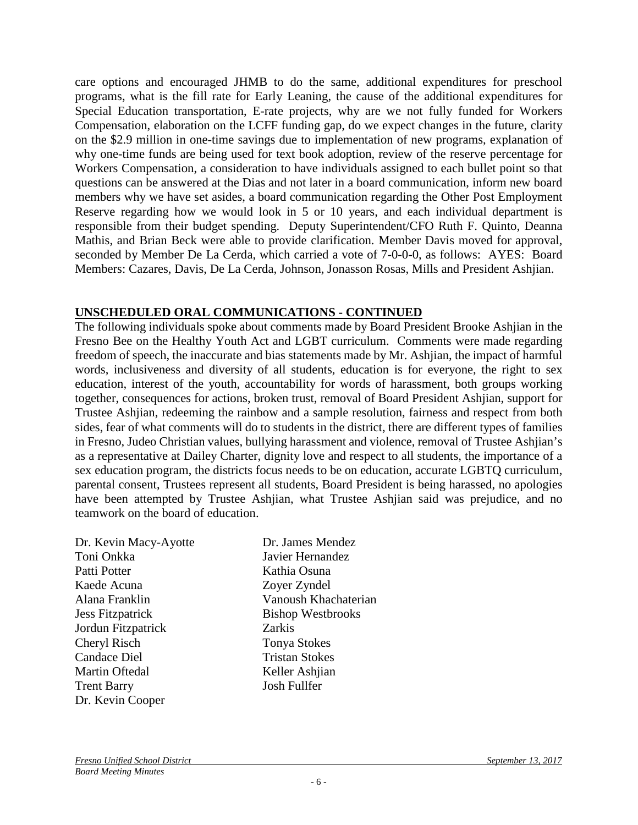care options and encouraged JHMB to do the same, additional expenditures for preschool programs, what is the fill rate for Early Leaning, the cause of the additional expenditures for Special Education transportation, E-rate projects, why are we not fully funded for Workers Compensation, elaboration on the LCFF funding gap, do we expect changes in the future, clarity on the \$2.9 million in one-time savings due to implementation of new programs, explanation of why one-time funds are being used for text book adoption, review of the reserve percentage for Workers Compensation, a consideration to have individuals assigned to each bullet point so that questions can be answered at the Dias and not later in a board communication, inform new board members why we have set asides, a board communication regarding the Other Post Employment Reserve regarding how we would look in 5 or 10 years, and each individual department is responsible from their budget spending. Deputy Superintendent/CFO Ruth F. Quinto, Deanna Mathis, and Brian Beck were able to provide clarification. Member Davis moved for approval, seconded by Member De La Cerda, which carried a vote of 7-0-0-0, as follows: AYES: Board Members: Cazares, Davis, De La Cerda, Johnson, Jonasson Rosas, Mills and President Ashjian.

# **UNSCHEDULED ORAL COMMUNICATIONS - CONTINUED**

The following individuals spoke about comments made by Board President Brooke Ashjian in the Fresno Bee on the Healthy Youth Act and LGBT curriculum. Comments were made regarding freedom of speech, the inaccurate and bias statements made by Mr. Ashjian, the impact of harmful words, inclusiveness and diversity of all students, education is for everyone, the right to sex education, interest of the youth, accountability for words of harassment, both groups working together, consequences for actions, broken trust, removal of Board President Ashjian, support for Trustee Ashjian, redeeming the rainbow and a sample resolution, fairness and respect from both sides, fear of what comments will do to students in the district, there are different types of families in Fresno, Judeo Christian values, bullying harassment and violence, removal of Trustee Ashjian's as a representative at Dailey Charter, dignity love and respect to all students, the importance of a sex education program, the districts focus needs to be on education, accurate LGBTQ curriculum, parental consent, Trustees represent all students, Board President is being harassed, no apologies have been attempted by Trustee Ashjian, what Trustee Ashjian said was prejudice, and no teamwork on the board of education.

| Dr. Kevin Macy-Ayotte   | Dr. James Mendez         |
|-------------------------|--------------------------|
| Toni Onkka              | Javier Hernandez         |
| Patti Potter            | Kathia Osuna             |
| Kaede Acuna             | Zoyer Zyndel             |
| Alana Franklin          | Vanoush Khachaterian     |
| <b>Jess Fitzpatrick</b> | <b>Bishop Westbrooks</b> |
| Jordun Fitzpatrick      | <b>Zarkis</b>            |
| Cheryl Risch            | <b>Tonya Stokes</b>      |
| <b>Candace Diel</b>     | <b>Tristan Stokes</b>    |
| Martin Oftedal          | Keller Ashjian           |
| <b>Trent Barry</b>      | Josh Fullfer             |
| Dr. Kevin Cooper        |                          |